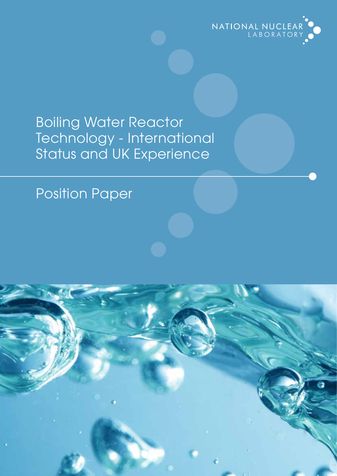

### Boiling Water Reactor Technology - International Status and UK Experience

### Position Paper

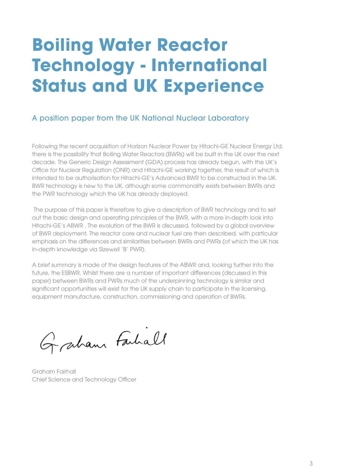# **Boiling Water Reactor Technology - International Status and UK Experience**

### A position paper from the UK National Nuclear Laboratory

Following the recent acquisition of Horizon Nuclear Power by Hitachi-GE Nuclear Energy Ltd, there is the possibility that Boiling Water Reactors (BWRs) will be built in the UK over the next decade. The Generic Design Assessment (GDA) process has already begun, with the UK's Office for Nuclear Regulation (ONR) and Hitachi-GE working together, the result of which is intended to be authorisation for Hitachi-GE's Advanced BWR to be constructed in the UK. BWR technology is new to the UK, although some commonality exists between BWRs and the PWR technology which the UK has already deployed.

 The purpose of this paper is therefore to give a description of BWR technology and to set out the basic design and operating principles of the BWR, with a more in-depth look into Hitachi-GE's ABWR . The evolution of the BWR is discussed, followed by a global overview of BWR deployment. The reactor core and nuclear fuel are then described, with particular emphasis on the differences and similarities between BWRs and PWRs (of which the UK has in-depth knowledge via Sizewell 'B' PWR).

A brief summary is made of the design features of the ABWR and, looking further into the future, the ESBWR. Whilst there are a number of important differences (discussed in this paper) between BWRs and PWRs much of the underpinning technology is similar and significant opportunities will exist for the UK supply chain to participate in the licensing, equipment manufacture, construction, commissioning and operation of BWRs.

Graham Farhall

Graham Fairhall Chief Science and Technology Officer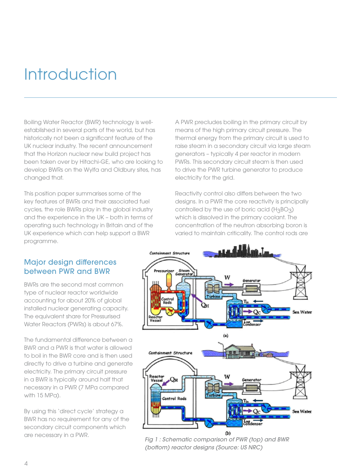## Introduction

Boiling Water Reactor (BWR) technology is wellestablished in several parts of the world, but has historically not been a significant feature of the UK nuclear industry. The recent announcement that the Horizon nuclear new build project has been taken over by Hitachi-GE, who are looking to develop BWRs on the Wylfa and Oldbury sites, has changed that.

This position paper summarises some of the key features of BWRs and their associated fuel cycles, the role BWRs play in the global industry and the experience in the UK – both in terms of operating such technology in Britain and of the UK experience which can help support a BWR programme.

A PWR precludes boiling in the primary circuit by means of the high primary circuit pressure. The thermal energy from the primary circuit is used to raise steam in a secondary circuit via large steam generators – typically 4 per reactor in modern PWRs. This secondary circuit steam is then used to drive the PWR turbine generator to produce electricity for the grid.

Reactivity control also differs between the two designs. In a PWR the core reactivity is principally controlled by the use of boric acid  $(H_3BO_3)$ which is dissolved in the primary coolant. The concentration of the neutron absorbing boron is varied to maintain criticality. The control rods are

### Major design differences between PWR and BWR

BWRs are the second most common type of nuclear reactor worldwide accounting for about 20% of global installed nuclear generating capacity. The equivalent share for Pressurised Water Reactors (PWRs) is about 67%.

The fundamental difference between a BWR and a PWR is that water is allowed to boil in the BWR core and is then used directly to drive a turbine and generate electricity. The primary circuit pressure in a BWR is typically around half that necessary in a PWR (7 MPa compared with 15 MPa).

By using this 'direct cycle' strategy a BWR has no requirement for any of the secondary circuit components which are necessary in a PWR.



*Fig 1 : Schematic comparison of PWR (top) and BWR (bottom) reactor designs (Source: US NRC)*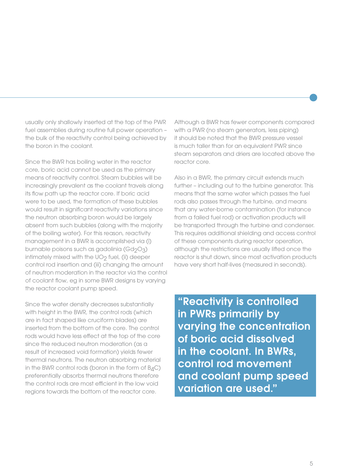usually only shallowly inserted at the top of the PWR fuel assemblies during routine full power operation – the bulk of the reactivity control being achieved by the boron in the coolant.

Since the BWR has boiling water in the reactor core, boric acid cannot be used as the primary means of reactivity control. Steam bubbles will be increasingly prevalent as the coolant travels along its flow path up the reactor core. If boric acid were to be used, the formation of these bubbles would result in significant reactivity variations since the neutron absorbing boron would be largely absent from such bubbles (along with the majority of the boiling water). For this reason, reactivity management in a BWR is accomplished via (i) burnable poisons such as gadolinia ( $Gd_2O_3$ ) intimately mixed with the  $UO<sub>2</sub>$  fuel, (ii) deeper control rod insertion and (iii) changing the amount of neutron moderation in the reactor via the control of coolant flow, eg in some BWR designs by varying the reactor coolant pump speed.

Since the water density decreases substantially with height in the BWR, the control rods (which are in fact shaped like cruciform blades) are inserted from the bottom of the core. The control rods would have less effect at the top of the core since the reduced neutron moderation (as a result of increased void formation) yields fewer thermal neutrons. The neutron absorbing material in the BWR control rods (boron in the form of  $B_4C$ ) preferentially absorbs thermal neutrons therefore the control rods are most efficient in the low void regions towards the bottom of the reactor core.

Although a BWR has fewer components compared with a PWR (no steam generators, less piping) it should be noted that the BWR pressure vessel is much taller than for an equivalent PWR since steam separators and driers are located above the reactor core.

Also in a BWR, the primary circuit extends much further – including out to the turbine generator. This means that the same water which passes the fuel rods also passes through the turbine, and means that any water-borne contamination (for instance from a failed fuel rod) or activation products will be transported through the turbine and condenser. This requires additional shielding and access control of these components during reactor operation, although the restrictions are usually lifted once the reactor is shut down, since most activation products have very short half-lives (measured in seconds).

"Reactivity is controlled in PWRs primarily by varying the concentration of boric acid dissolved in the coolant. In BWRs, control rod movement and coolant pump speed variation are used."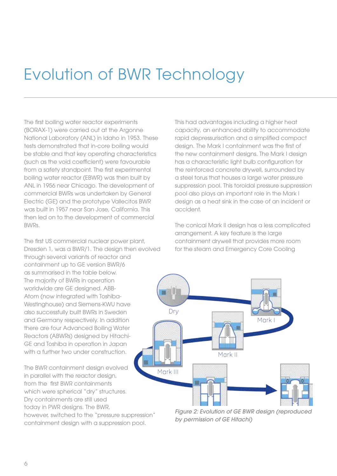## Evolution of BWR Technology

The first boiling water reactor experiments (BORAX-1) were carried out at the Argonne National Laboratory (ANL) in Idaho in 1953. These tests demonstrated that in-core boiling would be stable and that key operating characteristics (such as the void coefficient) were favourable from a safety standpoint. The first experimental boiling water reactor (EBWR) was then built by ANL in 1956 near Chicago. The development of commercial BWRs was undertaken by General Electric (GE) and the prototype Vallecitos BWR was built in 1957 near San Jose, California. This then led on to the development of commercial BWRs.

The first US commercial nuclear power plant, Dresden 1, was a BWR/1. The design then evolved through several variants of reactor and containment up to GE version BWR/6 as summarised in the table below. The majority of BWRs in operation worldwide are GE designed. ABB-Atom (now integrated with Toshiba-Westinghouse) and Siemens-KWU have also successfully built BWRs in Sweden and Germany respectively. In addition there are four Advanced Boiling Water Reactors (ABWRs) designed by Hitachi-GE and Toshiba in operation in Japan with a further two under construction.

The BWR containment design evolved in parallel with the reactor design, from the first BWR containments which were spherical "dry" structures. Dry containments are still used today in PWR designs. The BWR, however, switched to the "pressure suppression" containment design with a suppression pool.

This had advantages including a higher heat capacity, an enhanced ability to accommodate rapid depressurisation and a simplified compact design. The Mark I containment was the first of the new containment designs. The Mark I design has a characteristic light bulb configuration for the reinforced concrete drywell, surrounded by a steel torus that houses a large water pressure suppression pool. This toroidal pressure suppression pool also plays an important role in the Mark I design as a heat sink in the case of an incident or accident.

The conical Mark II design has a less complicated arrangement. A key feature is the large containment drywell that provides more room for the steam and Emergency Core Cooling



*Figure 2: Evolution of GE BWR design (reproduced by permission of GE Hitachi)*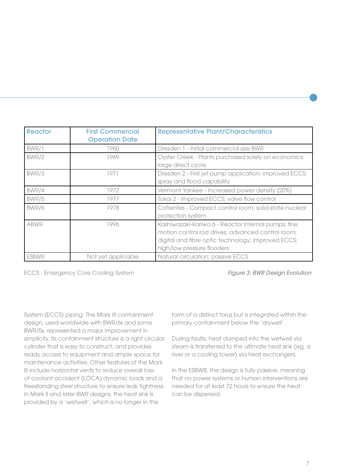| Reactor      | <b>First Commercial</b><br><b>Operation Date</b> | <b>Representative Plant/Characteristics</b>                                                                                                                                                  |
|--------------|--------------------------------------------------|----------------------------------------------------------------------------------------------------------------------------------------------------------------------------------------------|
| BWR/1        | 1960                                             | Dresden 1 - Initial commercial size BWR                                                                                                                                                      |
| BWR/2        | 1969                                             | Oyster Creek - Plants purchased solely on economics;<br>large direct cycle                                                                                                                   |
| BWR/3        | 1971                                             | Dresden 2 - First jet pump application; improved ECCS;<br>spray and flood capability                                                                                                         |
| BWR/4        | 1972                                             | Vermont Yankee - Increased power density (20%)                                                                                                                                               |
| BWR/5        | 1977                                             | Tokai 2 - Improved ECCS; valve flow control                                                                                                                                                  |
| BWR/6        | 1978                                             | Cofrentes - Compact control room; solid-state nuclear<br>protection system                                                                                                                   |
| <b>ABWR</b>  | 1996                                             | Kashiwazaki-Kariwa 6 - Reactor internal pumps; fine<br>motion control rod drives; advanced control room;<br>digital and fibre optic technology; improved ECCS;<br>high/low pressure flooders |
| <b>ESBWR</b> | Not yet applicable                               | Natural circulation; passive ECCS                                                                                                                                                            |

ECCS - Emergency Core Cooling System

*Figure 3: BWR Design Evolution*

System (ECCS) piping. The Mark III containment design, used worldwide with BWR/6s and some BWR/5s, represented a major improvement in simplicity. Its containment structure is a right circular cylinder that is easy to construct, and provides ready access to equipment and ample space for maintenance activities. Other features of the Mark III include horizontal vents to reduce overall lossof-coolant accident (LOCA) dynamic loads and a freestanding steel structure to ensure leak tightness. In Mark II and later BWR designs, the heat sink is provided by a 'wetwell', which is no longer in the

form of a distinct torus but is integrated within the primary containment below the 'drywell'.

During faults, heat dumped into the wetwell via steam is transferred to the ultimate heat sink (eg, a river or a cooling tower) via heat exchangers.

In the ESBWR, the design is fully passive, meaning that no power systems or human interventions are needed for at least 72 hours to ensure the heat can be dispersed.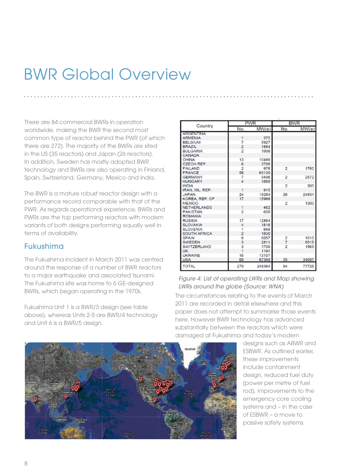### BWR Global Overview

There are 84 commercial BWRs in operation worldwide, making the BWR the second most common type of reactor behind the PWR (of which there are 272). The majority of the BWRs are sited in the US (35 reactors) and Japan (26 reactors). In addition, Sweden has mostly adopted BWR technology and BWRs are also operating in Finland, Spain, Switzerland, Germany, Mexico and India.

The BWR is a mature robust reactor design with a performance record comparable with that of the PWR. As regards operational experience, BWRs and PWRs are the top performing reactors with modern variants of both designs performing equally well in terms of availability.

### Fukushima

The Fukushima incident in March 2011 was centred around the response of a number of BWR reactors to a major earthquake and associated tsunami. The Fukushima site was home to 6 GE-designed BWRs, which began operating in the 1970s.

Fukushima Unit 1 is a BWR/3 design (see table above), whereas Units 2-5 are BWR/4 technology and Unit 6 is a BWR/5 design.

| Country             | <b>PWR</b>     |        | <b>BWR</b>     |       |
|---------------------|----------------|--------|----------------|-------|
|                     | No.            | MW(e)  | No.            | MW(e) |
| <b>ARGENTINA</b>    |                |        |                |       |
| <b>ARMENIA</b>      | 1              | 375    |                |       |
| <b>BELGIUM</b>      | 7              | 5927   |                |       |
| <b>BRAZIL</b>       | $\overline{2}$ | 1884   |                |       |
| <b>BULGARIA</b>     | $\overline{2}$ | 1906   |                |       |
| CANADA              |                |        |                |       |
| <b>CHINA</b>        | 13             | 10496  |                |       |
| <b>CZECH REP.</b>   | 6              | 3766   |                |       |
| <b>FINLAND</b>      | $\overline{2}$ | 976    | 2              | 1760  |
| <b>FRANCE</b>       | 58             | 63130  |                |       |
| <b>GERMANY</b>      | 7              | 9496   | $\overline{2}$ | 2572  |
| <b>HUNGARY</b>      | 4              | 1889   |                |       |
| <b>INDIA</b>        |                |        | $\mathfrak{p}$ | 300   |
| IRAN, ISL, REP.     | 1              | 915    |                |       |
| <b>JAPAN</b>        | 24             | 19284  | 26             | 24931 |
| KOREA, REP. OF      | 17             | 15966  |                |       |
| <b>MEXICO</b>       |                |        | $\overline{2}$ | 1300  |
| <b>NETHERLANDS</b>  | 1              | 482    |                |       |
| <b>PAKISTAN</b>     | $\overline{2}$ | 600    |                |       |
| <b>ROMANIA</b>      |                |        |                |       |
| <b>RUSSIA</b>       | 17             | 12864  |                |       |
| <b>SLOVAKIA</b>     | 4              | 1816   |                |       |
| <b>SLOVENIA</b>     | 1              | 688    |                |       |
| <b>SOUTH AFRICA</b> | $\overline{2}$ | 1830   |                |       |
| <b>SPAIN</b>        | 6              | 6057   | 2              | 1510  |
| <b>SWEDEN</b>       | 3              | 2811   | 7              | 6515  |
| <b>SWITZERLAND</b>  | 3              | 1700   | $\overline{2}$ | 1563  |
| <b>UK</b>           | $\overline{1}$ | 1191   |                |       |
| <b>UKRAINE</b>      | 15             | 13107  |                |       |
| <b>USA</b>          | 69             | 67368  | 35             | 34097 |
| <b>TOTAL</b>        | 270            | 248364 | 84             | 77726 |

#### *Figure 4: List of operating LWRs and Map showing LWRs around the globe (Source: WNA)*

The circumstances relating to the events of March 2011 are recorded in detail elsewhere and this paper does not attempt to summarise those events here. However BWR technology has advanced substantially between the reactors which were damaged at Fukushima and today's modern

> designs such as ABWR and ESBWR. As outlined earlier, these improvements include containment design, reduced fuel duty (power per metre of fuel rod), improvements to the emergency core cooling systems and – in the case of ESBWR – a move to passive safety systems.

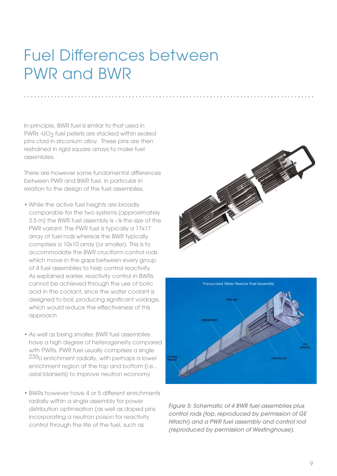### Fuel Differences between PWR and BWR

In principle, BWR fuel is similar to that used in PWRs -UO<sub>2</sub> fuel pellets are stacked within sealed pins clad in zirconium alloy. These pins are then restrained in rigid square arrays to make fuel assemblies.

There are however some fundamental differences between PWR and BWR fuel, in particular in relation to the design of the fuel assemblies.

- While the active fuel heights are broadly comparable for the two systems (approximately 3.5 m) the BWR fuel assembly is ~¼ the size of the PWR variant. The PWR fuel is typically a 17x17 array of fuel rods whereas the BWR typically comprises a 10x10 array (or smaller). This is to accommodate the BWR cruciform control rods which move in the gaps between every group of 4 fuel assemblies to help control reactivity. As explained earlier, reactivity control in BWRs cannot be achieved through the use of boric acid in the coolant, since the water coolant is designed to boil, producing significant voidage, which would reduce the effectiveness of this approach
- As well as being smaller, BWR fuel assemblies have a high degree of heterogeneity compared with PWRs. PWR fuel usually comprises a single 235U enrichment radially, with perhaps a lower enrichment region at the top and bottom (i.e., axial blankets) to improve neutron economy
- BWRs however have 4 or 5 different enrichments radially within a single assembly for power distribution optimisation (as well as doped pins incorporating a neutron poison for reactivity control through the life of the fuel, such as





*Figure 5: Schematic of 4 BWR fuel assemblies plus control rods (top, reproduced by permission of GE Hitachi) and a PWR fuel assembly and control rod (reproduced by permission of Westinghouse).*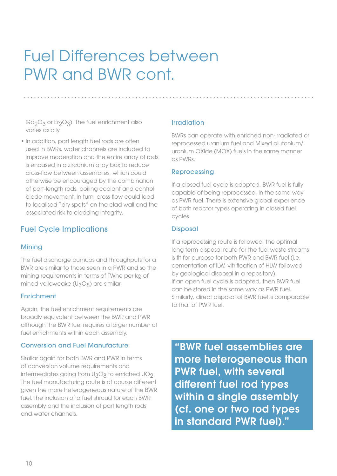## Fuel Differences between PWR and BWR cont.

 $Gd_2O_3$  or Er<sub>2</sub>O<sub>3</sub>). The fuel enrichment also varies axially.

• In addition, part lenath fuel rods are often used in BWRs, water channels are included to improve moderation and the entire array of rods is encased in a zirconium alloy box to reduce cross-flow between assemblies, which could otherwise be encouraged by the combination of part-length rods, boiling coolant and control blade movement. In turn, cross flow could lead to localised "dry spots" on the clad wall and the associated risk to cladding integrity.

### Fuel Cycle Implications

#### Mining

The fuel discharge burnups and throughputs for a BWR are similar to those seen in a PWR and so the mining requirements in terms of TWhe per kg of mined yellowcake (U<sub>3</sub>O<sub>8</sub>) are similar.

#### Enrichment

Again, the fuel enrichment requirements are broadly equivalent between the BWR and PWR although the BWR fuel requires a larger number of fuel enrichments within each assembly.

#### Conversion and Fuel Manufacture

Similar again for both BWR and PWR in terms of conversion volume requirements and intermediates going from  $U_3O_8$  to enriched  $UO_2$ . The fuel manufacturing route is of course different given the more heterogeneous nature of the BWR fuel, the inclusion of a fuel shroud for each BWR assembly and the inclusion of part length rods and water channels.

#### Irradiation

BWRs can operate with enriched non-irradiated or reprocessed uranium fuel and Mixed plutonium/ uranium OXide (MOX) fuels in the same manner as PWRs.

### Reprocessing

If a closed fuel cycle is adopted, BWR fuel is fully capable of being reprocessed, in the same way as PWR fuel. There is extensive global experience of both reactor types operating in closed fuel cycles.

### **Disposal**

If a reprocessing route is followed, the optimal long term disposal route for the fuel waste streams is fit for purpose for both PWR and BWR fuel (i.e. cementation of ILW, vitrification of HLW followed by geological disposal in a repository). If an open fuel cycle is adopted, then BWR fuel can be stored in the same way as PWR fuel. Similarly, direct disposal of BWR fuel is comparable to that of PWR fuel.

"BWR fuel assemblies are more heterogeneous than PWR fuel, with several different fuel rod types within a single assembly (cf. one or two rod types in standard PWR fuel)."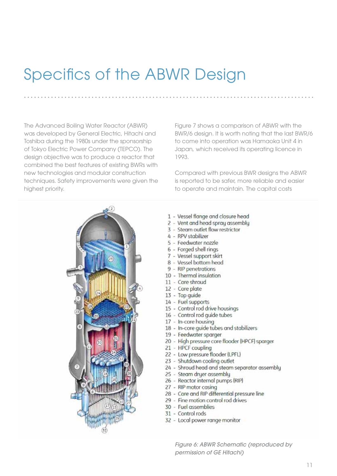## **Specifics of the ABWR Design**

The Advanced Boiling Water Reactor (ABWR) was developed by General Electric, Hitachi and Toshiba during the 1980s under the sponsorship of Tokyo Electric Power Company (TEPCO). The design objective was to produce a reactor that combined the best features of existing BWRs with new technologies and modular construction techniques. Safety improvements were given the highest priority.

Figure 7 shows a comparison of ABWR with the BWR/6 design. It is worth noting that the last BWR/6 to come into operation was Hamaoka Unit 4 in Japan, which received its operating licence in 1993.

Compared with previous BWR designs the ABWR is reported to be safer, more reliable and easier to operate and maintain. The capital costs



- 1 Vessel flange and closure head
- 2 Vent and head spray assembly
- 3 Steam outlet flow restrictor
- 4 RPV stabilizer
- 5 Feedwater nozzle
- 6 Forged shell rings
- 7 Vessel support skirt
- 8 Vessel bottom head
- 9 RIP penetrations
- 10 Thermal insulation
- 11 Core shroud
- 12 Core plate
- 13 Top guide
- 14 Fuel supports
- 15 Control rod drive housings
- 16 Control rod quide tubes
- 17 In-core housing
- 18 In-core guide tubes and stabilizers
- 19 Feedwater sparger
- 20 High pressure core flooder (HPCF) sparger
- 21 HPCF coupling
- 22 Low pressure flooder (LPFL)
- 23 Shutdown cooling outlet
- 24 Shroud head and steam separator assembly
- 25 Steam druer assemblu
- 26 Reactor internal pumps (RIP)
- 27 RIP motor casing
- 28 Core and RIP differential pressure line
- 29 Fine motion control rod drives
- 30 Fuel assemblies
- 31 Control rods
- 32 Local power range monitor

Figure 6: ABWR Schematic (reproduced by permission of GE Hitachi)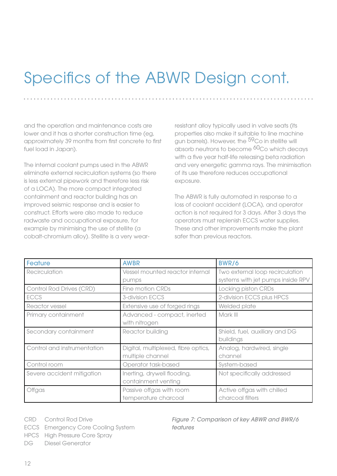## Specifics of the ABWR Design cont.

and the operation and maintenance costs are lower and it has a shorter construction time (eg, approximately 39 months from first concrete to first fuel load in Japan).

The internal coolant pumps used in the ABWR eliminate external recirculation systems (so there is less external pipework and therefore less risk of a LOCA). The more compact integrated containment and reactor building has an improved seismic response and is easier to construct. Efforts were also made to reduce radwaste and occupational exposure, for example by minimising the use of stellite (a cobalt-chromium alloy). Stellite is a very wearresistant alloy typically used in valve seats (its properties also make it suitable to line machine aun barrels). However, the <sup>59</sup>Co in stellite will absorb neutrons to become <sup>60</sup>Co which decays with a five year half-life releasing beta radiation and very energetic gamma rays. The minimisation of its use therefore reduces occupational exposure.

The ABWR is fully automated in response to a loss of coolant accident (LOCA), and operator action is not required for 3 days. After 3 days the operators must replenish ECCS water supplies. These and other improvements make the plant safer than previous reactors.

| <b>Feature</b>              | <b>AWBR</b>                                             | <b>BWR/6</b>                                                         |
|-----------------------------|---------------------------------------------------------|----------------------------------------------------------------------|
| Recirculation               | Vessel mounted reactor internal<br>pumps                | Two external loop recirculation<br>systems with jet pumps inside RPV |
| Control Rod Drives (CRD)    | Fine motion CRDs                                        | Locking piston CRDs                                                  |
| <b>ECCS</b>                 | 3-division ECCS                                         | 2-division ECCS plus HPCS                                            |
| Reactor vessel              | Extensive use of forged rings                           | Welded plate                                                         |
| Primary containment         | Advanced - compact, inerted<br>with nitrogen            | Mark III                                                             |
| Secondary containment       | Reactor building                                        | Shield, fuel, auxiliary and DG<br>buildings                          |
| Control and instrumentation | Digital, multiplexed, fibre optics,<br>multiple channel | Analog, hardwired, single<br>channel                                 |
| Control room                | Operator task-based                                     | System-based                                                         |
| Severe accident mitigation  | Inerting, drywell flooding,<br>containment venting      | Not specifically addressed                                           |
| Offgas                      | Passive offgas with room<br>temperature charcoal        | Active offgas with chilled<br>charcoal filters                       |

CRD Control Rod Drive

ECCS Emergency Core Cooling System

HPCS High Pressure Core Spray

DG Diesel Generator

*Figure 7: Comparison of key ABWR and BWR/6 features*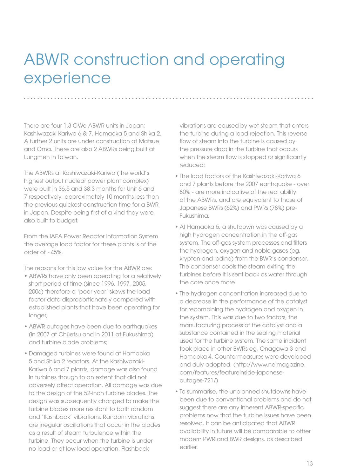## ABWR construction and operating experience

There are four 1.3 GWe ABWR units in Japan; Kashiwazaki Kariwa 6 & 7, Hamaoka 5 and Shika 2. A further 2 units are under construction at Matsue and Oma. There are also 2 ABWRs being built at Lungmen in Taiwan.

The ABWRs at Kashiwazaki-Kariwa (the world's highest output nuclear power plant complex) were built in 36.5 and 38.3 months for Unit 6 and 7 respectively, approximately 10 months less than the previous quickest construction time for a BWR in Japan. Despite being first of a kind they were also built to budget.

From the IAEA Power Reactor Information System the average load factor for these plants is of the order of ~45%.

The reasons for this low value for the ABWR are:

- ABWRs have only been operating for a relatively short period of time (since 1996, 1997, 2005, 2006) therefore a 'poor year' skews the load factor data disproportionately compared with established plants that have been operating for longer;
- ABWR outages have been due to earthquakes (in 2007 at Chūetsu and in 2011 at Fukushima) and turbine blade problems;
- • Damaged turbines were found at Hamaoka 5 and Shika 2 reactors. At the Kashiwazaki-Kariwa 6 and 7 plants, damage was also found in turbines though to an extent that did not adversely affect operation. All damage was due to the design of the 52-inch turbine blades. The design was subsequently changed to make the turbine blades more resistant to both random and 'flashback' vibrations. Random vibrations are irregular oscillations that occur in the blades as a result of steam turbulence within the turbine. They occur when the turbine is under no load or at low load operation. Flashback

vibrations are caused by wet steam that enters the turbine during a load rejection. This reverse flow of steam into the turbine is caused by the pressure drop in the turbine that occurs when the steam flow is stopped or significantly reduced;

- The load factors of the Kashiwazaki-Kariwa 6 and 7 plants before the 2007 earthquake - over 80% - are more indicative of the real ability of the ABWRs, and are equivalent to those of Japanese BWRs (62%) and PWRs (78%) pre-Fukushima;
- At Hamaoka 5, a shutdown was caused by a high hydrogen concentration in the off-gas system. The off-gas system processes and filters the hydrogen, oxygen and noble gases (eg, krypton and iodine) from the BWR's condenser. The condenser cools the steam exiting the turbines before it is sent back as water through the core once more.
- The hydrogen concentration increased due to a decrease in the performance of the catalyst for recombining the hydrogen and oxygen in the system. This was due to two factors, the manufacturing process of the catalyst and a substance contained in the sealing material used for the turbine system. The same incident took place in other BWRs eg, Onagawa 3 and Hamaoka 4. Countermeasures were developed and duly adopted. (http://www.neimagazine. com/features/featureinside-japaneseoutages-721/)
- To summarise, the unplanned shutdowns have been due to conventional problems and do not suggest there are any inherent ABWR-specific problems now that the turbine issues have been resolved. It can be anticipated that ABWR availability in future will be comparable to other modern PWR and BWR designs, as described earlier.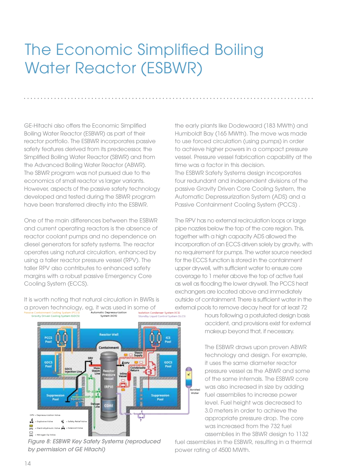## The Economic Simplified Boiling Water Reactor (ESBWR)

GE-Hitachi also offers the Economic Simplified Boiling Water Reactor (ESBWR) as part of their reactor portfolio. The ESBWR incorporates passive safety features derived from its predecessor, the Simplified Boiling Water Reactor (SBWR) and from the Advanced Boiling Water Reactor (ABWR). The SBWR program was not pursued due to the economics of small reactor vs larger variants. However, aspects of the passive safety technology developed and tested during the SBWR program have been transferred directly into the ESBWR.

One of the main differences between the ESBWR and current operating reactors is the absence of reactor coolant pumps and no dependence on diesel generators for safety systems. The reactor operates using natural circulation, enhanced by using a taller reactor pressure vessel (RPV). The taller RPV also contributes to enhanced safety margins with a robust passive Emergency Core Cooling System (ECCS).

It is worth noting that natural circulation in BWRs is a proven technology, eg, it was used in some of<br> **Passive Containment Cooling System (PCCS)**<br> **Automatic Depressurization**<br>
Standby Linui



*Figure 8: ESBWR Key Safety Systems (reproduced by permission of GE Hitachi)*

the early plants like Dodewaard (183 MWth) and Humboldt Bay (165 MWth). The move was made to use forced circulation (using pumps) in order to achieve higher powers in a compact pressure vessel. Pressure vessel fabrication capability at the time was a factor in this decision. The ESBWR Safety Systems design incorporates four redundant and independent divisions of the passive Gravity Driven Core Cooling System, the Automatic Depressurization System (ADS) and a Passive Containment Cooling System (PCCS) .

The RPV has no external recirculation loops or large pipe nozzles below the top of the core region. This, together with a high capacity ADS allowed the incorporation of an ECCS driven solely by gravity, with no requirement for pumps. The water source needed for the ECCS function is stored in the containment upper drywell, with sufficient water to ensure core coverage to 1 meter above the top of active fuel as well as flooding the lower drywell. The PCCS heat exchangers are located above and immediately outside of containment. There is sufficient water in the external pools to remove decay heat for at least 72

> hours following a postulated design basis accident, and provisions exist for external makeup beyond that, if necessary.

The ESBWR draws upon proven ABWR technology and design. For example, it uses the same diameter reactor pressure vessel as the ABWR and some of the same internals. The ESBWR core was also increased in size by adding fuel assemblies to increase power level. Fuel height was decreased to 3.0 meters in order to achieve the appropriate pressure drop. The core was increased from the 732 fuel assemblies in the SBWR design to 1132

fuel assemblies in the ESBWR, resulting in a thermal power rating of 4500 MWth.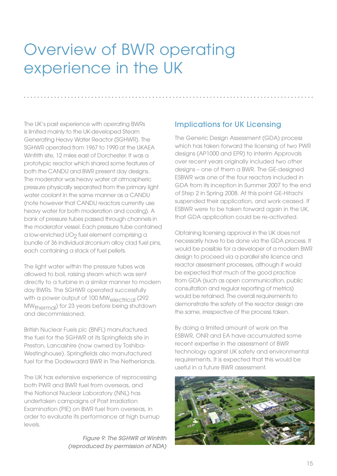### Overview of BWR operating experience in the UK

The UK's past experience with operating BWRs is limited mainly to the UK-developed Steam Generating Heavy Water Reactor (SGHWR). The SGHWR operated from 1967 to 1990 at the UKAEA Winfrith site, 12 miles east of Dorchester. It was a prototypic reactor which shared some features of both the CANDU and BWR present day designs. The moderator was heavy water at atmospheric pressure physically separated from the primary light water coolant in the same manner as a CANDU (note however that CANDU reactors currently use heavy water for both moderation and cooling). A bank of pressure tubes passed through channels in the moderator vessel. Each pressure tube contained a low-enriched UO<sub>2</sub> fuel element comprising a bundle of 36 individual zirconium alloy clad fuel pins, each containing a stack of fuel pellets.

The light water within the pressure tubes was allowed to boil, raising steam which was sent directly to a turbine in a similar manner to modern day BWRs. The SGHWR operated successfully with a power output of 100 MW<sub>electrical</sub> (292) MWthermal) for 23 years before being shutdown and decommissioned.

British Nuclear Fuels plc (BNFL) manufactured the fuel for the SGHWR at its Springfields site in Preston, Lancashire (now owned by Toshiba-Westinghouse). Springfields also manufactured fuel for the Dodewaard BWR in The Netherlands.

The UK has extensive experience of reprocessing both PWR and BWR fuel from overseas, and the National Nuclear Laboratory (NNL) has undertaken campaigns of Post Irradiation Examination (PIE) on BWR fuel from overseas, in order to evaluate its performance at high burnup levels.

> *Figure 9: The SGHWR at Winfrith (reproduced by permission of NDA)*

### Implications for UK Licensing

The Generic Design Assessment (GDA) process which has taken forward the licensing of two PWR designs (AP1000 and EPR) to Interim Approvals over recent years originally included two other designs – one of them a BWR. The GE-designed ESBWR was one of the four reactors included in GDA from its inception in Summer 2007 to the end of Step 2 in Spring 2008. At this point GE-Hitachi suspended their application, and work ceased. If ESBWR were to be taken forward again in the UK, that GDA application could be re-activated.

Obtaining licensing approval in the UK does not necessarily have to be done via the GDA process. It would be possible for a developer of a modern BWR design to proceed via a parallel site licence and reactor assessment processes, although it would be expected that much of the good practice from GDA (such as open communication, public consultation and regular reporting of metrics) would be retained. The overall requirements to demonstrate the safety of the reactor design are the same, irrespective of the process taken.

By doing a limited amount of work on the ESBWR, ONR and EA have accumulated some recent expertise in the assessment of BWR technology against UK safety and environmental requirements. It is expected that this would be useful in a future BWR assessment.

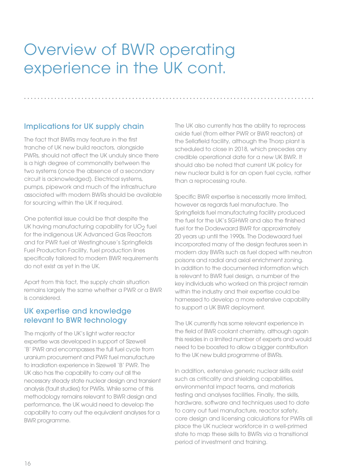### Overview of BWR operating experience in the UK cont.

### Implications for UK supply chain

The fact that BWRs may feature in the first tranche of UK new build reactors, alongside PWRs, should not affect the UK unduly since there is a high degree of commonality between the two systems (once the absence of a secondary circuit is acknowledged). Electrical systems, pumps, pipework and much of the infrastructure associated with modern BWRs should be available for sourcing within the UK if required.

One potential issue could be that despite the UK having manufacturing capability for UO<sub>2</sub> fuel for the indigenous UK Advanced Gas Reactors and for PWR fuel at Westinghouse's Springfields Fuel Production Facility, fuel production lines specifically tailored to modern BWR requirements do not exist as yet in the UK.

Apart from this fact, the supply chain situation remains largely the same whether a PWR or a BWR is considered.

### UK expertise and knowledge relevant to BWR technology

The majority of the UK's light water reactor expertise was developed in support of Sizewell 'B' PWR and encompasses the full fuel cycle from uranium procurement and PWR fuel manufacture to irradiation experience in Sizewell 'B' PWR. The UK also has the capability to carry out all the necessary steady state nuclear design and transient analysis (fault studies) for PWRs. While some of this methodology remains relevant to BWR design and performance, the UK would need to develop the capability to carry out the equivalent analyses for a BWR programme.

The UK also currently has the ability to reprocess oxide fuel (from either PWR or BWR reactors) at the Sellafield facility, although the Thorp plant is scheduled to close in 2018, which precedes any credible operational date for a new UK BWR. It should also be noted that current UK policy for new nuclear build is for an open fuel cycle, rather than a reprocessing route.

Specific BWR expertise is necessarily more limited, however as regards fuel manufacture. The Springfields fuel manufacturing facility produced the fuel for the UK's SGHWR and also the finished fuel for the Dodewaard BWR for approximately 20 years up until the 1990s. The Dodewaard fuel incorporated many of the design features seen in modern day BWRs such as fuel doped with neutron poisons and radial and axial enrichment zoning. In addition to the documented information which is relevant to BWR fuel design, a number of the key individuals who worked on this project remain within the industry and their expertise could be harnessed to develop a more extensive capability to support a UK BWR deployment.

The UK currently has some relevant experience in the field of BWR coolant chemistry, although again this resides in a limited number of experts and would need to be boosted to allow a bigger contribution to the UK new build programme of BWRs.

In addition, extensive generic nuclear skills exist such as criticality and shielding capabilities, environmental impact teams, and materials testing and analyses facilities. Finally, the skills, hardware, software and techniques used to date to carry out fuel manufacture, reactor safety, core design and licensing calculations for PWRs all place the UK nuclear workforce in a well-primed state to map these skills to BWRs via a transitional period of investment and training.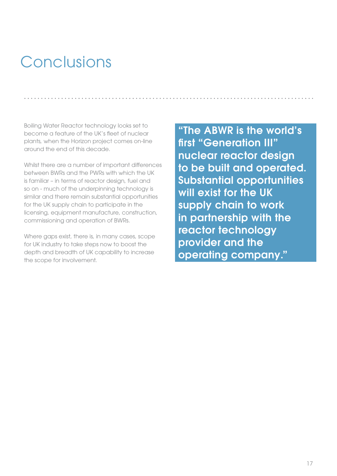# Conclusions

Boiling Water Reactor technology looks set to become a feature of the UK's fleet of nuclear plants, when the Horizon project comes on-line around the end of this decade.

Whilst there are a number of important differences between BWRs and the PWRs with which the UK is familiar – in terms of reactor design, fuel and so on - much of the underpinning technology is similar and there remain substantial opportunities for the UK supply chain to participate in the licensing, equipment manufacture, construction, commissioning and operation of BWRs.

Where gaps exist, there is, in many cases, scope for UK industry to take steps now to boost the depth and breadth of UK capability to increase the scope for involvement.

"The ABWR is the world's first "Generation III" nuclear reactor design to be built and operated. Substantial opportunities will exist for the UK supply chain to work in partnership with the reactor technology provider and the operating company."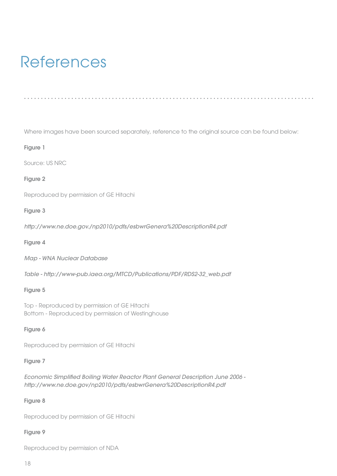## References

Where images have been sourced separately, reference to the original source can be found below:

#### Figure 1

Source: US NRC

#### Figure 2

Reproduced by permission of GE Hitachi

#### Figure 3

*http://www.ne.doe.gov./np2010/pdfs/esbwrGenera%20DescriptionR4.pdf*

#### Figure 4

*Map - WNA Nuclear Database*

*Table - http://www-pub.iaea.org/MTCD/Publications/PDF/RDS2-32\_web.pdf*

#### Figure 5

Top - Reproduced by permission of GE Hitachi Bottom - Reproduced by permission of Westinghouse

#### Figure 6

Reproduced by permission of GE Hitachi

#### Figure 7

*Economic Simplified Boiling Water Reactor Plant General Description June 2006 http://www.ne.doe.gov/np2010/pdfs/esbwrGenera%20DescriptionR4.pdf*

#### Figure 8

Reproduced by permission of GE Hitachi

#### Figure 9

Reproduced by permission of NDA